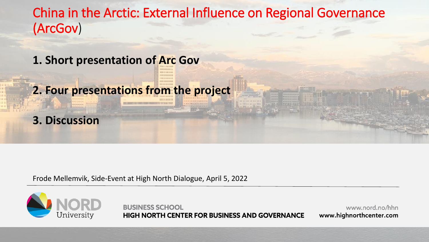China in the Arctic: External Influence on Regional Governance (ArcGov)

**1. Short presentation of Arc Gov**

**2. Four presentations from the project**



Frode Mellemvik, Side-Event at High North Dialogue, April 5, 2022



**BUSINESS SCHOOL HIGH NORTH CENTER FOR BUSINESS AND GOVERNANCE**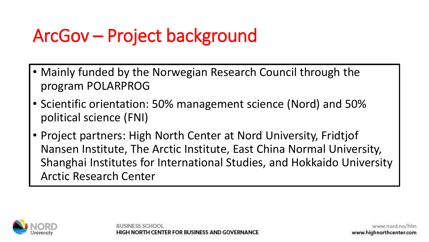# ArcGov – Project background

- Mainly funded by the Norwegian Research Council through the program POLARPROG
- Scientific orientation: 50% management science (Nord) and 50% political science (FNI)
- Project partners: High North Center at Nord University, Fridtjof Nansen Institute, The Arctic Institute, East China Normal University, Shanghai Institutes for International Studies, and Hokkaido University Arctic Research Center

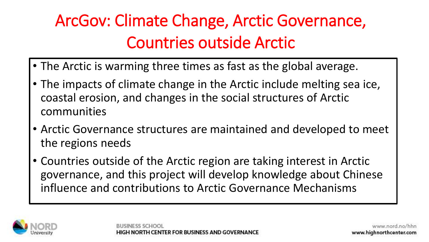### ArcGov: Climate Change, Arctic Governance, Countries outside Arctic

- The Arctic is warming three times as fast as the global average.
- The impacts of climate change in the Arctic include melting sea ice, coastal erosion, and changes in the social structures of Arctic communities
- Arctic Governance structures are maintained and developed to meet the regions needs
- Countries outside of the Arctic region are taking interest in Arctic governance, and this project will develop knowledge about Chinese influence and contributions to Arctic Governance Mechanisms

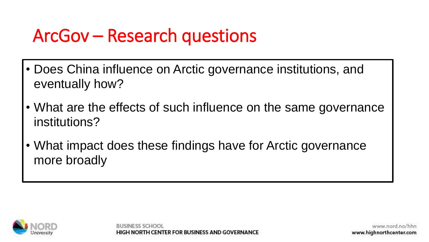# ArcGov – Research questions

- Does China influence on Arctic governance institutions, and eventually how?
- What are the effects of such influence on the same governance institutions?
- What impact does these findings have for Arctic governance more broadly



NTER FOR BUSINESS AND GOVERNA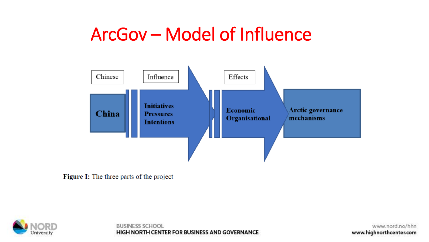#### ArcGov - Model of Influence



Figure I: The three parts of the project



**BUSINESS SCHOOL** HIGH NORTH CENTER FOR BUSINESS AND GOVERNANCE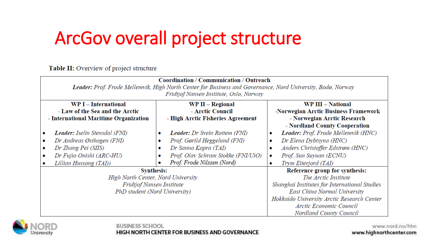# ArcGov overall project structure

Table II: Overview of project structure

| <b>Coordination / Communication / Outreach</b><br>Leader: Prof. Frode Mellemvik, High North Center for Business and Governance, Nord University, Bodø, Norway |                                                                                                                                                                            |                                                                                                                                                                                                           |
|---------------------------------------------------------------------------------------------------------------------------------------------------------------|----------------------------------------------------------------------------------------------------------------------------------------------------------------------------|-----------------------------------------------------------------------------------------------------------------------------------------------------------------------------------------------------------|
| WP I - International<br>- Law of the Sea and the Arctic                                                                                                       | Fridtjof Nansen Institute, Oslo, Norway<br>WP II - Regional<br>- Arctic Council                                                                                            | <b>WP III - National</b><br>-Norwegian Arctic Business Framework                                                                                                                                          |
| - International Maritime Organization                                                                                                                         | - High Arctic Fisheries Agreement                                                                                                                                          | - Norwegian Arctic Research<br>- Nordland County Cooperation                                                                                                                                              |
| <b>Leader:</b> Iselin Stensdal (FNI)<br>Dr Andreas Østhagen (FNI)<br>Dr Zhang Pei (SIIS)<br>Dr Fujio Onishi (ARC-HU)                                          | <b>Leader:</b> Dr Svein Rottem (FNI)<br>٠<br>Prof. Gørild Heggelund (FNI)<br>Dr Sanna Kopra (TAI)<br>Prof. Olav Schram Stokke (FNI/UiO)<br>٠<br>Prof. Frode Nilssen (Nord) | Leader: Prof. Frode Mellemvik (HNC)<br>۰<br>Dr Elena Dybtsyna (HNC)<br>۰<br>Anders Christoffer Edstrøm (HNC)<br>۰<br>Prof. Sun Suyuan (ECNU)<br>$\bullet$                                                 |
| Lillian Hussong (TAI))<br><b>Synthesis:</b>                                                                                                                   |                                                                                                                                                                            | Trym Eiterjord (TAI)<br>۰<br>Reference group for synthesis:                                                                                                                                               |
| High North Center, Nord University<br><b>Fridtjof Nansen Institute</b><br>PhD student (Nord University)                                                       |                                                                                                                                                                            | The Arctic Institute<br>Shanghai Institutes for International Studies<br>East China Normal University<br>Hokkaido University Arctic Research Center<br>Arctic Economic Council<br>Nordland County Council |



**BUSINESS SCHOOL** 

#### HIGH NORTH CENTER FOR BUSINESS AND GOVERNANCE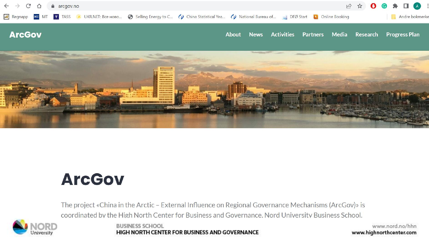

#### **ArcGov**

The project «China in the Arctic - External Influence on Regional Governance Mechanisms (ArcGov)» is coordinated by the High North Center for Business and Governance, Nord University Business School.



**BUSINESS SCHOOL HIGH NORTH CENTER FOR BUSINESS AND GOVERNANCE**